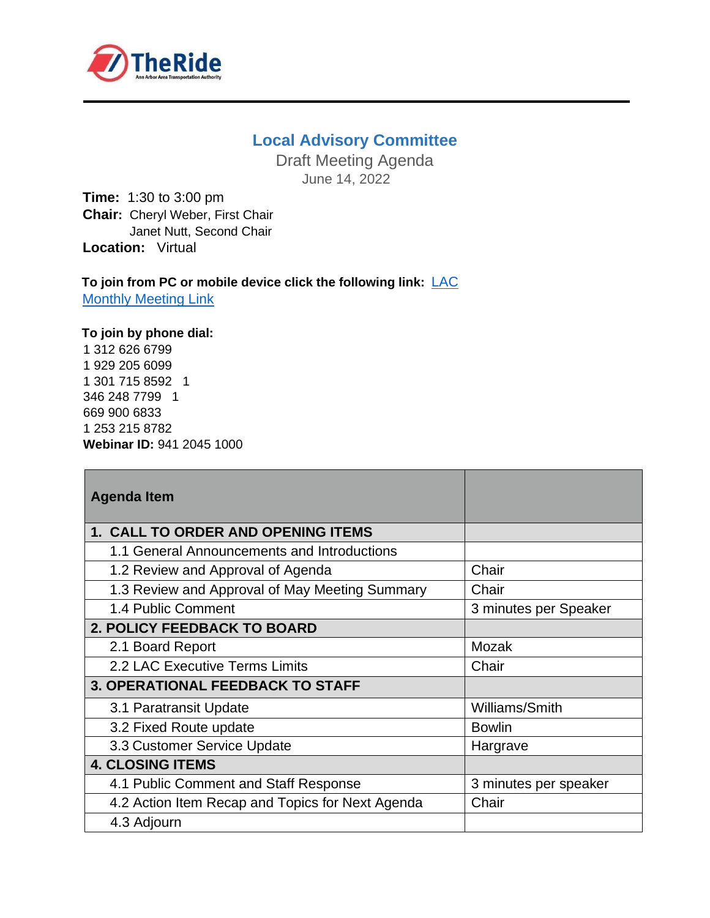

## **Local Advisory Committee**

Draft Meeting Agenda June 14, 2022

**Time:** 1:30 to 3:00 pm **Chair:** Cheryl Weber, First Chair Janet Nutt, Second Chair **Location:** Virtual

To join from PC or mobile device click the following link: LAC **[Monthly Meeting Link](https://theride-org.zoom.us/j/94120451000?pwd=RGZvUGZaYWdqbDFKak9UUGwxcHUyQT09)** 

## **To join by phone dial:**

1 312 626 6799 1 929 205 6099 1 301 715 8592 1 346 248 7799 1 669 900 6833 1 253 215 8782 **Webinar ID:** 941 2045 1000

| <b>Agenda Item</b>                               |                       |
|--------------------------------------------------|-----------------------|
| <b>1. CALL TO ORDER AND OPENING ITEMS</b>        |                       |
| 1.1 General Announcements and Introductions      |                       |
| 1.2 Review and Approval of Agenda                | Chair                 |
| 1.3 Review and Approval of May Meeting Summary   | Chair                 |
| 1.4 Public Comment                               | 3 minutes per Speaker |
| <b>2. POLICY FEEDBACK TO BOARD</b>               |                       |
| 2.1 Board Report                                 | Mozak                 |
| 2.2 LAC Executive Terms Limits                   | Chair                 |
| <b>3. OPERATIONAL FEEDBACK TO STAFF</b>          |                       |
| 3.1 Paratransit Update                           | Williams/Smith        |
| 3.2 Fixed Route update                           | <b>Bowlin</b>         |
| 3.3 Customer Service Update                      | Hargrave              |
| <b>4. CLOSING ITEMS</b>                          |                       |
| 4.1 Public Comment and Staff Response            | 3 minutes per speaker |
| 4.2 Action Item Recap and Topics for Next Agenda | Chair                 |
| 4.3 Adjourn                                      |                       |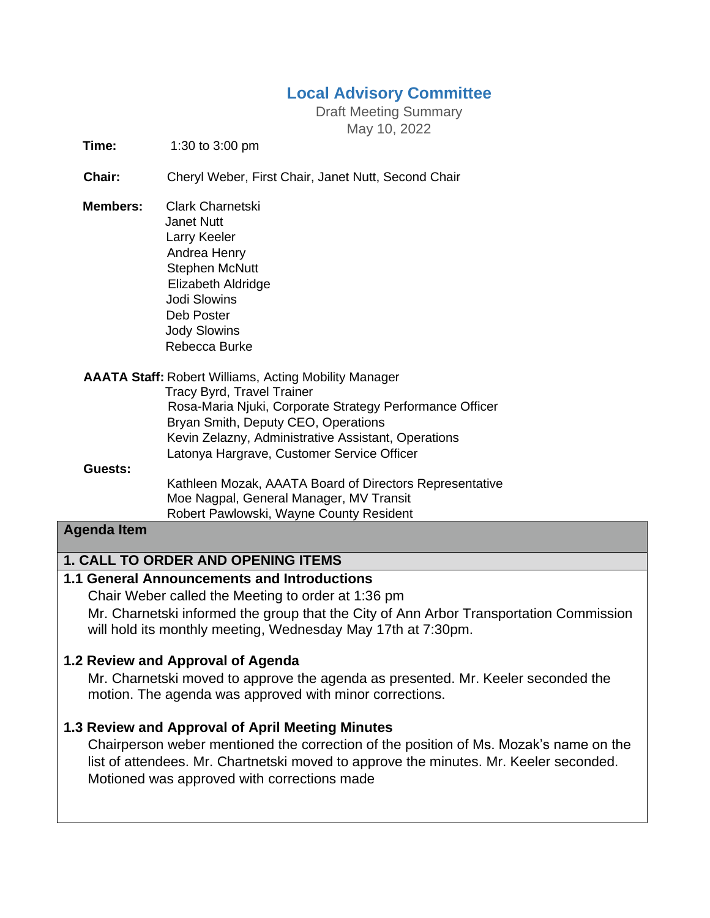# **Local Advisory Committee**

Draft Meeting Summary May 10, 2022

**Time:** 1:30 to 3:00 pm

**Chair:** Cheryl Weber, First Chair, Janet Nutt, Second Chair

- **Members:** Clark Charnetski Janet Nutt Larry Keeler Andrea Henry Stephen McNutt Elizabeth Aldridge Jodi Slowins Deb Poster Jody Slowins Rebecca Burke
- **AAATA Staff:** Robert Williams, Acting Mobility Manager Tracy Byrd, Travel Trainer Rosa-Maria Njuki, Corporate Strategy Performance Officer Bryan Smith, Deputy CEO, Operations Kevin Zelazny, Administrative Assistant, Operations Latonya Hargrave, Customer Service Officer

#### **Guests:**

 Kathleen Mozak, AAATA Board of Directors Representative Moe Nagpal, General Manager, MV Transit Robert Pawlowski, Wayne County Resident

#### **Agenda Item**

### **1. CALL TO ORDER AND OPENING ITEMS**

### **1.1 General Announcements and Introductions**

Chair Weber called the Meeting to order at 1:36 pm Mr. Charnetski informed the group that the City of Ann Arbor Transportation Commission will hold its monthly meeting, Wednesday May 17th at 7:30pm.

#### **1.2 Review and Approval of Agenda**

Mr. Charnetski moved to approve the agenda as presented. Mr. Keeler seconded the motion. The agenda was approved with minor corrections.

### **1.3 Review and Approval of April Meeting Minutes**

Chairperson weber mentioned the correction of the position of Ms. Mozak's name on the list of attendees. Mr. Chartnetski moved to approve the minutes. Mr. Keeler seconded. Motioned was approved with corrections made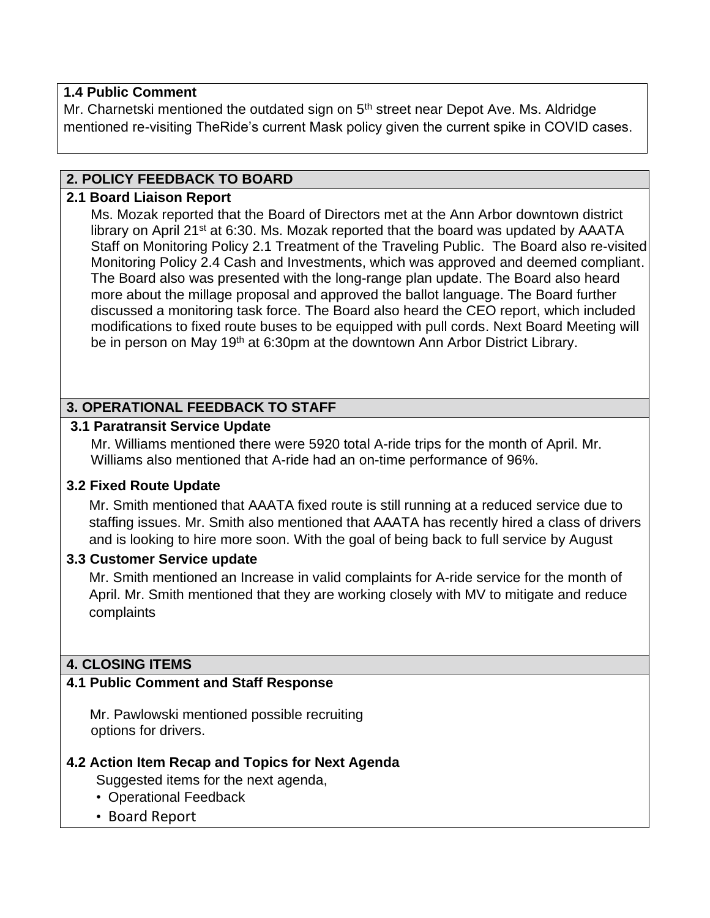## **1.4 Public Comment**

Mr. Charnetski mentioned the outdated sign on 5<sup>th</sup> street near Depot Ave. Ms. Aldridge mentioned re-visiting TheRide's current Mask policy given the current spike in COVID cases.

## **2. POLICY FEEDBACK TO BOARD**

## **2.1 Board Liaison Report**

Ms. Mozak reported that the Board of Directors met at the Ann Arbor downtown district library on April 21<sup>st</sup> at 6:30. Ms. Mozak reported that the board was updated by AAATA Staff on Monitoring Policy 2.1 Treatment of the Traveling Public. The Board also re-visited Monitoring Policy 2.4 Cash and Investments, which was approved and deemed compliant. The Board also was presented with the long-range plan update. The Board also heard more about the millage proposal and approved the ballot language. The Board further discussed a monitoring task force. The Board also heard the CEO report, which included modifications to fixed route buses to be equipped with pull cords. Next Board Meeting will be in person on May 19<sup>th</sup> at 6:30pm at the downtown Ann Arbor District Library.

## **3. OPERATIONAL FEEDBACK TO STAFF**

### **3.1 Paratransit Service Update**

Mr. Williams mentioned there were 5920 total A-ride trips for the month of April. Mr. Williams also mentioned that A-ride had an on-time performance of 96%.

## **3.2 Fixed Route Update**

Mr. Smith mentioned that AAATA fixed route is still running at a reduced service due to staffing issues. Mr. Smith also mentioned that AAATA has recently hired a class of drivers and is looking to hire more soon. With the goal of being back to full service by August

## **3.3 Customer Service update**

Mr. Smith mentioned an Increase in valid complaints for A-ride service for the month of April. Mr. Smith mentioned that they are working closely with MV to mitigate and reduce complaints

## **4. CLOSING ITEMS**

## **4.1 Public Comment and Staff Response**

Mr. Pawlowski mentioned possible recruiting options for drivers.

## **4.2 Action Item Recap and Topics for Next Agenda**

- Suggested items for the next agenda,
- Operational Feedback
- Board Report